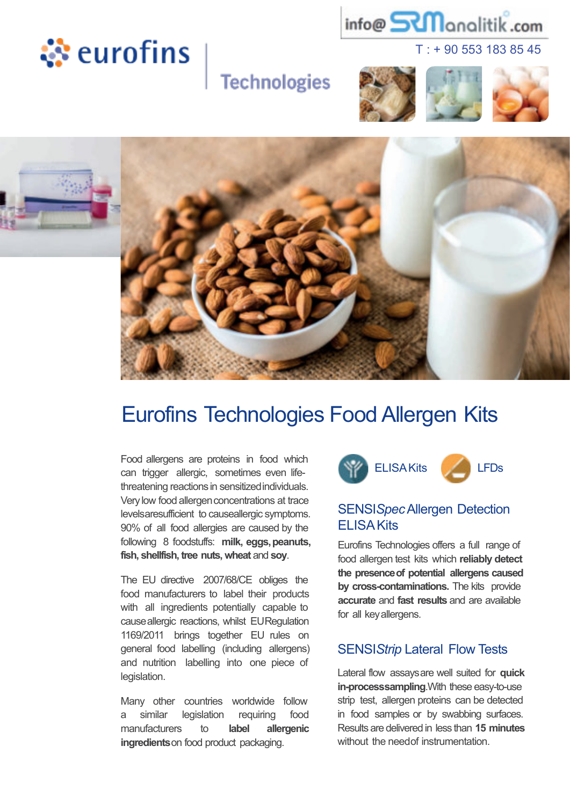





**Technologies** 





# Eurofins Technologies Food Allergen Kits

Food allergens are proteins in food which can trigger allergic, sometimes even lifethreatening reactions in sensitized individuals. Very low food allergen concentrations at trace levelsaresufficient to causeallergic symptoms. 90% of all food allergies are caused by the following 8 foodstuffs: **milk, eggs,peanuts, fish, shellfish, tree nuts, wheat** and **soy**.

The EU directive 2007/68/CE obliges the food manufacturers to label their products with all ingredients potentially capable to causeallergic reactions, whilst EURegulation 1169/2011 brings together EU rules on general food labelling (including allergens) and nutrition labelling into one piece of legislation.

Many other countries worldwide follow a similar legislation requiring food manufacturers to **label allergenic ingredients**on food product packaging.



#### SENSI*Spec*Allergen Detection ELISAKits

Eurofins Technologies offers a full range of food allergen test kits which **reliably detect the presenceof potential allergens caused by cross-contaminations.** The kits provide **accurate** and **fast results** and are available for all keyallergens.

#### SENSI*Strip* Lateral Flow Tests

Lateral flow assaysare well suited for **quick in-processsampling**.With these easy-to-use strip test, allergen proteins can be detected in food samples or by swabbing surfaces. Results are delivered in less than **15 minutes** without the needof instrumentation.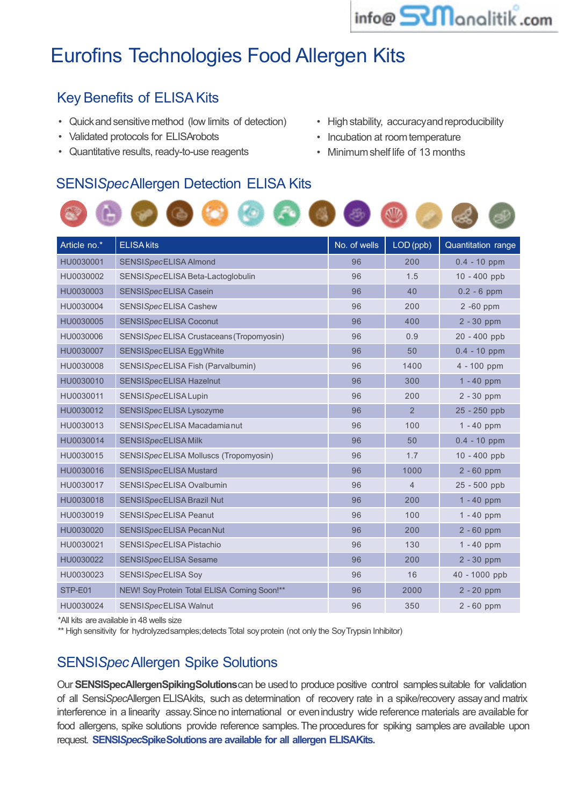

## Eurofins Technologies Food Allergen Kits

### **Key Benefits of ELISA Kits**

- Quick and sensitive method (low limits of detection)
- Validated protocols for ELISArobots
- Quantitative results, ready-to-use reagents
- High stability, accuracyand reproducibility
- Incubation at roomtemperature
- Minimumshelf life of 13 months

#### SENSI*Spec*Allergen Detection ELISA Kits



| Article no.* | <b>ELISA kits</b>                           | No. of wells | LOD (ppb)      | Quantitation range |
|--------------|---------------------------------------------|--------------|----------------|--------------------|
| HU0030001    | SENSISpecELISA Almond                       | 96           | 200            | $0.4 - 10$ ppm     |
| HU0030002    | SENSISpecELISA Beta-Lactoglobulin           | 96           | 1.5            | 10 - 400 ppb       |
| HU0030003    | SENSISpecELISA Casein                       | 96           | 40             | $0.2 - 6$ ppm      |
| HU0030004    | SENSISpecELISA Cashew                       | 96           | 200            | 2 -60 ppm          |
| HU0030005    | SENSISpecELISA Coconut                      | 96           | 400            | $2 - 30$ ppm       |
| HU0030006    | SENSISpec ELISA Crustaceans (Tropomyosin)   | 96           | 0.9            | 20 - 400 ppb       |
| HU0030007    | SENSISpecELISA Egg White                    | 96           | 50             | $0.4 - 10$ ppm     |
| HU0030008    | SENSISpecELISA Fish (Parvalbumin)           | 96           | 1400           | 4 - 100 ppm        |
| HU0030010    | SENSISpecELISA Hazelnut                     | 96           | 300            | $1 - 40$ ppm       |
| HU0030011    | SENSISpecELISA Lupin                        | 96           | 200            | $2 - 30$ ppm       |
| HU0030012    | SENSISpecELISA Lysozyme                     | 96           | $\overline{2}$ | 25 - 250 ppb       |
| HU0030013    | SENSISpecELISA Macadamia nut                | 96           | 100            | $1 - 40$ ppm       |
| HU0030014    | SENSISpecELISA Milk                         | 96           | 50             | $0.4 - 10$ ppm     |
| HU0030015    | SENSISpecELISA Molluscs (Tropomyosin)       | 96           | 1.7            | 10 - 400 ppb       |
| HU0030016    | SENSISpecELISA Mustard                      | 96           | 1000           | $2 - 60$ ppm       |
| HU0030017    | SENSISpecELISA Ovalbumin                    | 96           | $\overline{4}$ | 25 - 500 ppb       |
| HU0030018    | <b>SENSISpecELISA Brazil Nut</b>            | 96           | 200            | $1 - 40$ ppm       |
| HU0030019    | SENSISpecELISA Peanut                       | 96           | 100            | $1 - 40$ ppm       |
| HU0030020    | SENSISpecELISA Pecan Nut                    | 96           | 200            | $2 - 60$ ppm       |
| HU0030021    | SENSISpecELISA Pistachio                    | 96           | 130            | $1 - 40$ ppm       |
| HU0030022    | SENSISpecELISA Sesame                       | 96           | 200            | $2 - 30$ ppm       |
| HU0030023    | SENSISpecELISA Soy                          | 96           | 16             | 40 - 1000 ppb      |
| STP-E01      | NEW! Soy Protein Total ELISA Coming Soon!** | 96           | 2000           | $2 - 20$ ppm       |
| HU0030024    | SENSISpecELISA Walnut                       | 96           | 350            | $2 - 60$ ppm       |

\*All kits areavailable in 48 wells size

\*\* High sensitivity for hydrolyzedsamples;detects Total soyprotein (not only the SoyTrypsin Inhibitor)

#### SENSI*Spec*Allergen Spike Solutions

Our **SENSISpecAllergenSpikingSolutions** can be used to produce positive control samples suitable for validation of all Sensi*Spec*Allergen ELISAkits, such as determination of recovery rate in a spike/recovery assayand matrix interference in a linearity assay. Since no international or evenindustry wide reference materials are available for food allergens, spike solutions provide reference samples. The procedures for spiking samples are available upon request. **SENSI***Spec***SpikeSolutions are available for all allergen ELISAKits.**